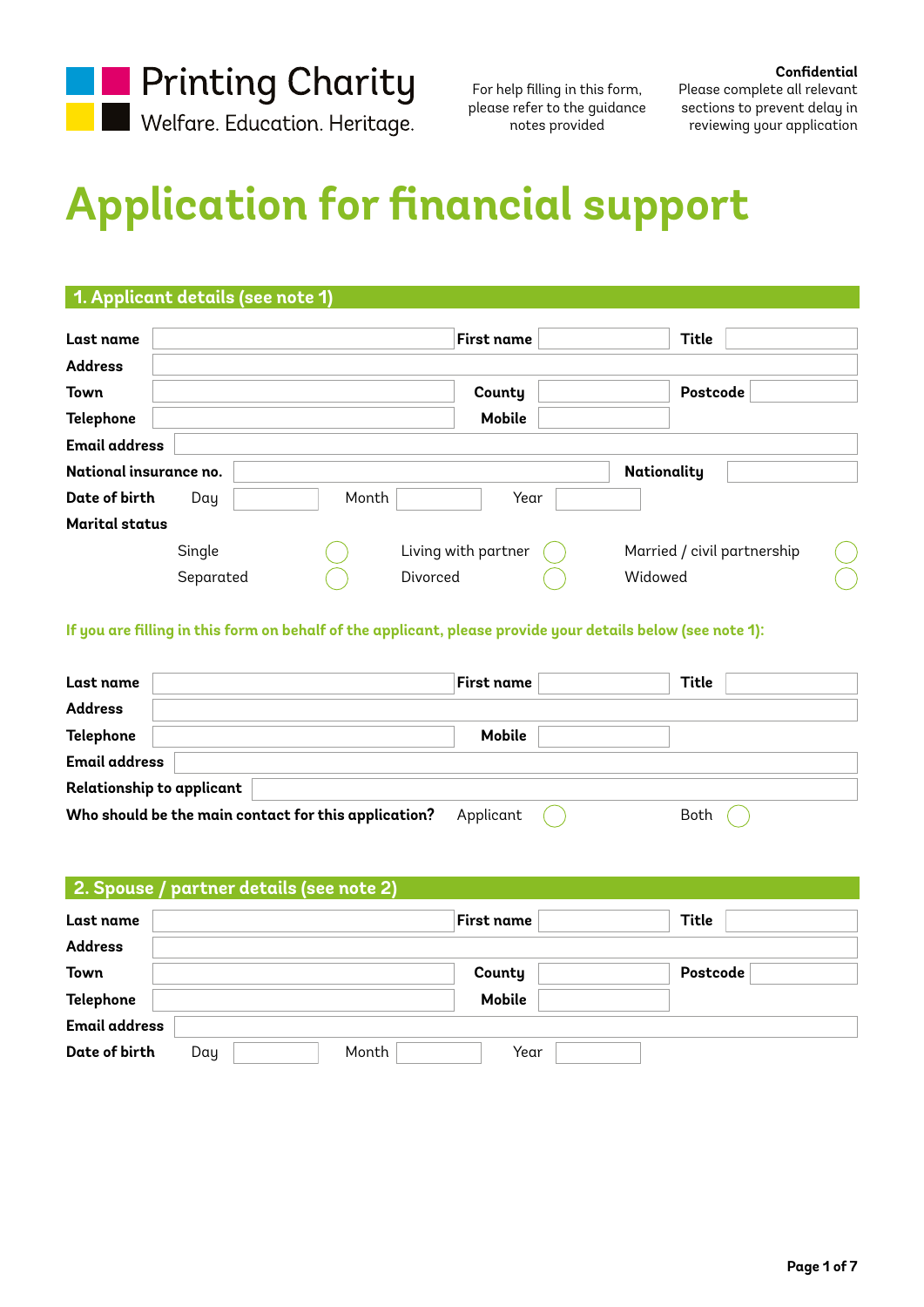

**Confidential** Please complete all relevant sections to prevent delay in reviewing your application

# **Application for financial support**

## **1. Applicant details (see note 1)**

| Last name              |           |       | First name          |      | Title       |                             |
|------------------------|-----------|-------|---------------------|------|-------------|-----------------------------|
| <b>Address</b>         |           |       |                     |      |             |                             |
| <b>Town</b>            |           |       | County              |      |             | Postcode                    |
| <b>Telephone</b>       |           |       | <b>Mobile</b>       |      |             |                             |
| <b>Email address</b>   |           |       |                     |      |             |                             |
| National insurance no. |           |       |                     |      | Nationality |                             |
| Date of birth          | Day       | Month |                     | Year |             |                             |
| <b>Marital status</b>  |           |       |                     |      |             |                             |
|                        | Single    |       | Living with partner |      |             | Married / civil partnership |
|                        | Separated |       | Divorced            |      | Widowed     |                             |

**If you are filling in this form on behalf of the applicant, please provide your details below (see note 1):**

| Last name                                            | First name | Title |
|------------------------------------------------------|------------|-------|
| <b>Address</b>                                       |            |       |
| Telephone                                            | Mobile     |       |
| <b>Email address</b>                                 |            |       |
| Relationship to applicant                            |            |       |
| Who should be the main contact for this application? | Applicant  | Both  |

## **2. Spouse / partner details (see note 2)**

| Last name            |     |       | <b>First name</b> | Title    |
|----------------------|-----|-------|-------------------|----------|
| <b>Address</b>       |     |       |                   |          |
| <b>Town</b>          |     |       | County            | Postcode |
| Telephone            |     |       | <b>Mobile</b>     |          |
| <b>Email address</b> |     |       |                   |          |
| Date of birth        | Day | Month | Year              |          |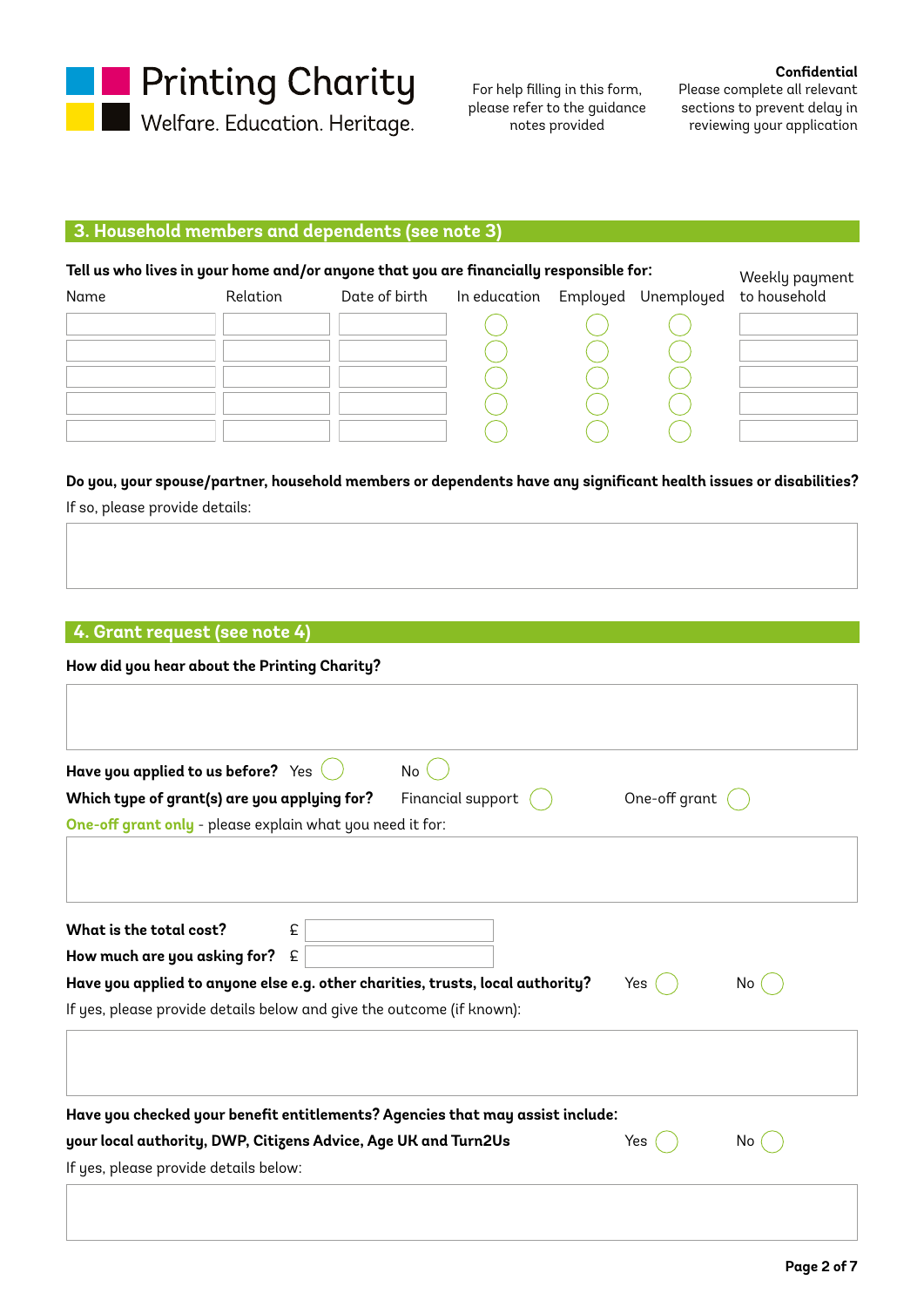

**Confidential**

Please complete all relevant sections to prevent delay in reviewing your application

# **3. Household members and dependents (see note 3)**

| Tell us who lives in your home and/or anyone that you are financially responsible for: | Weekly payment |               |              |          |            |              |
|----------------------------------------------------------------------------------------|----------------|---------------|--------------|----------|------------|--------------|
| Name                                                                                   | Relation       | Date of birth | In education | Employed | Unemployed | to household |
|                                                                                        |                |               |              |          |            |              |
|                                                                                        |                |               |              |          |            |              |
|                                                                                        |                |               |              |          |            |              |
|                                                                                        |                |               |              |          |            |              |
|                                                                                        |                |               |              |          |            |              |

# **Do you, your spouse/partner, household members or dependents have any significant health issues or disabilities?**

If so, please provide details:

# **4. Grant request (see note 4)**

| Have you applied to us before? Yes<br>No<br>One-off grant<br>Which type of grant(s) are you applying for?<br>Financial support<br>One-off grant only - please explain what you need it for:<br>What is the total cost?<br>£<br>How much are you asking for?<br>£<br>Have you applied to anyone else e.g. other charities, trusts, local authority?<br>Yes<br>No.<br>If yes, please provide details below and give the outcome (if known):<br>Have you checked your benefit entitlements? Agencies that may assist include:<br>your local authority, DWP, Citizens Advice, Age UK and Turn2Us<br>Yes<br>No.<br>If yes, please provide details below: | How did you hear about the Printing Charity? |  |
|-----------------------------------------------------------------------------------------------------------------------------------------------------------------------------------------------------------------------------------------------------------------------------------------------------------------------------------------------------------------------------------------------------------------------------------------------------------------------------------------------------------------------------------------------------------------------------------------------------------------------------------------------------|----------------------------------------------|--|
|                                                                                                                                                                                                                                                                                                                                                                                                                                                                                                                                                                                                                                                     |                                              |  |
|                                                                                                                                                                                                                                                                                                                                                                                                                                                                                                                                                                                                                                                     |                                              |  |
|                                                                                                                                                                                                                                                                                                                                                                                                                                                                                                                                                                                                                                                     |                                              |  |
|                                                                                                                                                                                                                                                                                                                                                                                                                                                                                                                                                                                                                                                     |                                              |  |
|                                                                                                                                                                                                                                                                                                                                                                                                                                                                                                                                                                                                                                                     |                                              |  |
|                                                                                                                                                                                                                                                                                                                                                                                                                                                                                                                                                                                                                                                     |                                              |  |
|                                                                                                                                                                                                                                                                                                                                                                                                                                                                                                                                                                                                                                                     |                                              |  |
|                                                                                                                                                                                                                                                                                                                                                                                                                                                                                                                                                                                                                                                     |                                              |  |
|                                                                                                                                                                                                                                                                                                                                                                                                                                                                                                                                                                                                                                                     |                                              |  |
|                                                                                                                                                                                                                                                                                                                                                                                                                                                                                                                                                                                                                                                     |                                              |  |
|                                                                                                                                                                                                                                                                                                                                                                                                                                                                                                                                                                                                                                                     |                                              |  |
|                                                                                                                                                                                                                                                                                                                                                                                                                                                                                                                                                                                                                                                     |                                              |  |
|                                                                                                                                                                                                                                                                                                                                                                                                                                                                                                                                                                                                                                                     |                                              |  |
|                                                                                                                                                                                                                                                                                                                                                                                                                                                                                                                                                                                                                                                     |                                              |  |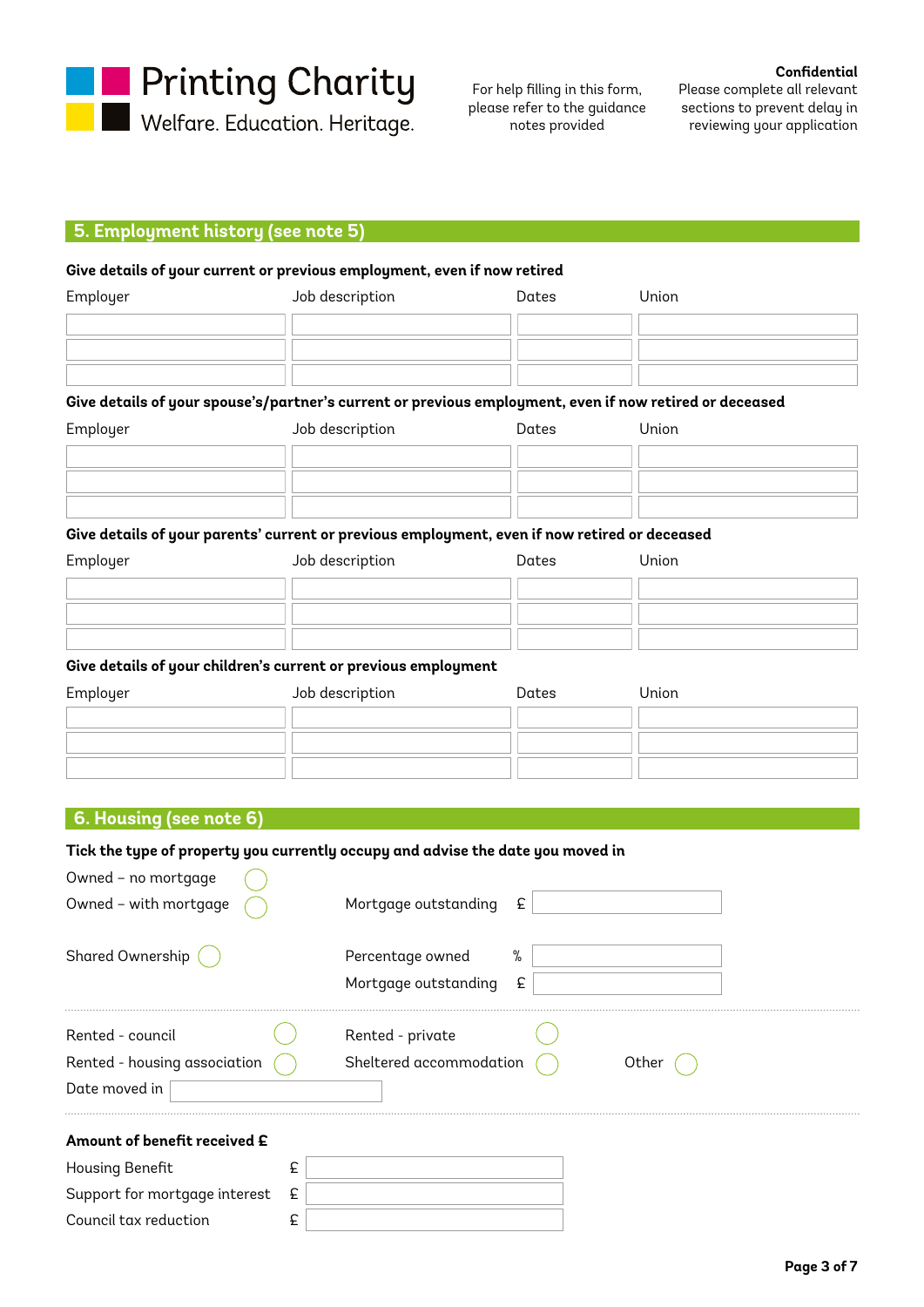

Welfare. Education. Heritage.

For help filling in this form, please refer to the guidance notes provided

**Confidential**

Please complete all relevant sections to prevent delay in reviewing your application

#### **5. Employment history (see note 5)**

#### **Give details of your current or previous employment, even if now retired**

| Employer | Job description | Dates | Union |
|----------|-----------------|-------|-------|
|          |                 |       |       |
|          |                 |       |       |
|          |                 |       |       |

### **Give details of your spouse's/partner's current or previous employment, even if now retired or deceased**

| Employer | Job description | Dates | Union |
|----------|-----------------|-------|-------|
|          |                 |       |       |
|          |                 |       |       |
|          |                 |       |       |

#### **Give details of your parents' current or previous employment, even if now retired or deceased**

| Employer | Job description | Dates | Union |
|----------|-----------------|-------|-------|
|          |                 |       |       |
|          |                 |       |       |
|          |                 |       |       |

#### **Give details of your children's current or previous employment**

| Employer | Job description | Dates | Union |
|----------|-----------------|-------|-------|
|          |                 |       |       |
|          |                 |       |       |
|          |                 |       |       |

## **6. Housing (see note 6)**

Support for mortgage interest £ Council tax reduction  $\epsilon$ 

#### **Tick the type of property you currently occupy and advise the date you moved in**

| Owned - with mortgage<br>Mortgage outstanding<br>£<br>Shared Ownership<br>%<br>Percentage owned<br>£<br>Mortgage outstanding |  |
|------------------------------------------------------------------------------------------------------------------------------|--|
|                                                                                                                              |  |
|                                                                                                                              |  |
|                                                                                                                              |  |
|                                                                                                                              |  |
| Rented - council<br>Rented - private                                                                                         |  |
| Sheltered accommodation<br>Rented - housing association<br>Other                                                             |  |
| Date moved in                                                                                                                |  |
| Amount of benefit received £                                                                                                 |  |
| <b>Housing Benefit</b><br>£                                                                                                  |  |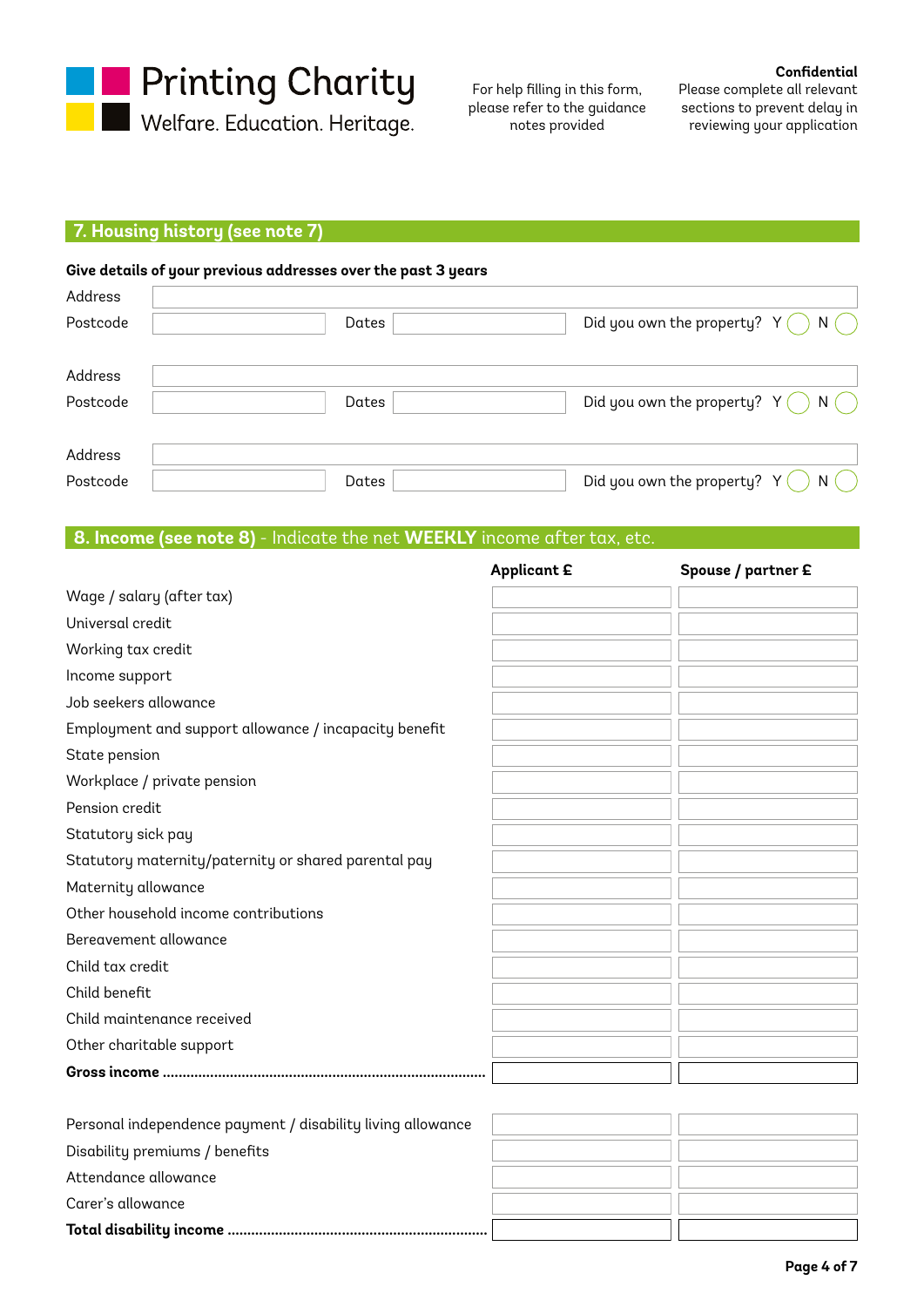

## **Confidential**

Please complete all relevant sections to prevent delay in reviewing your application

## **7. Housing history (see note 7)**

|          | Give details of your previous addresses over the past 3 years |                                              |
|----------|---------------------------------------------------------------|----------------------------------------------|
| Address  |                                                               |                                              |
| Postcode | Dates                                                         | Did you own the property? $Y( )$<br>N(       |
| Address  |                                                               |                                              |
| Postcode | Dates                                                         | Did you own the property? $Y( )$<br>$N($ $)$ |
|          |                                                               |                                              |
| Address  |                                                               |                                              |
| Postcode | Dates                                                         | Did you own the property? Y (<br>N(          |

## **8. Income (see note 8)** - Indicate the net **WEEKLY** income after tax, etc.

|                                                             | <b>Applicant £</b> | Spouse / partner £ |
|-------------------------------------------------------------|--------------------|--------------------|
| Wage / salary (after tax)                                   |                    |                    |
| Universal credit                                            |                    |                    |
| Working tax credit                                          |                    |                    |
| Income support                                              |                    |                    |
| Job seekers allowance                                       |                    |                    |
| Employment and support allowance / incapacity benefit       |                    |                    |
| State pension                                               |                    |                    |
| Workplace / private pension                                 |                    |                    |
| Pension credit                                              |                    |                    |
| Statutory sick pay                                          |                    |                    |
| Statutory maternity/paternity or shared parental pay        |                    |                    |
| Maternity allowance                                         |                    |                    |
| Other household income contributions                        |                    |                    |
| Bereavement allowance                                       |                    |                    |
| Child tax credit                                            |                    |                    |
| Child benefit                                               |                    |                    |
| Child maintenance received                                  |                    |                    |
| Other charitable support                                    |                    |                    |
|                                                             |                    |                    |
|                                                             |                    |                    |
| Personal independence payment / disability living allowance |                    |                    |
| Disability premiums / benefits                              |                    |                    |
| Attendance allowance                                        |                    |                    |
| Carer's allowance                                           |                    |                    |
|                                                             |                    |                    |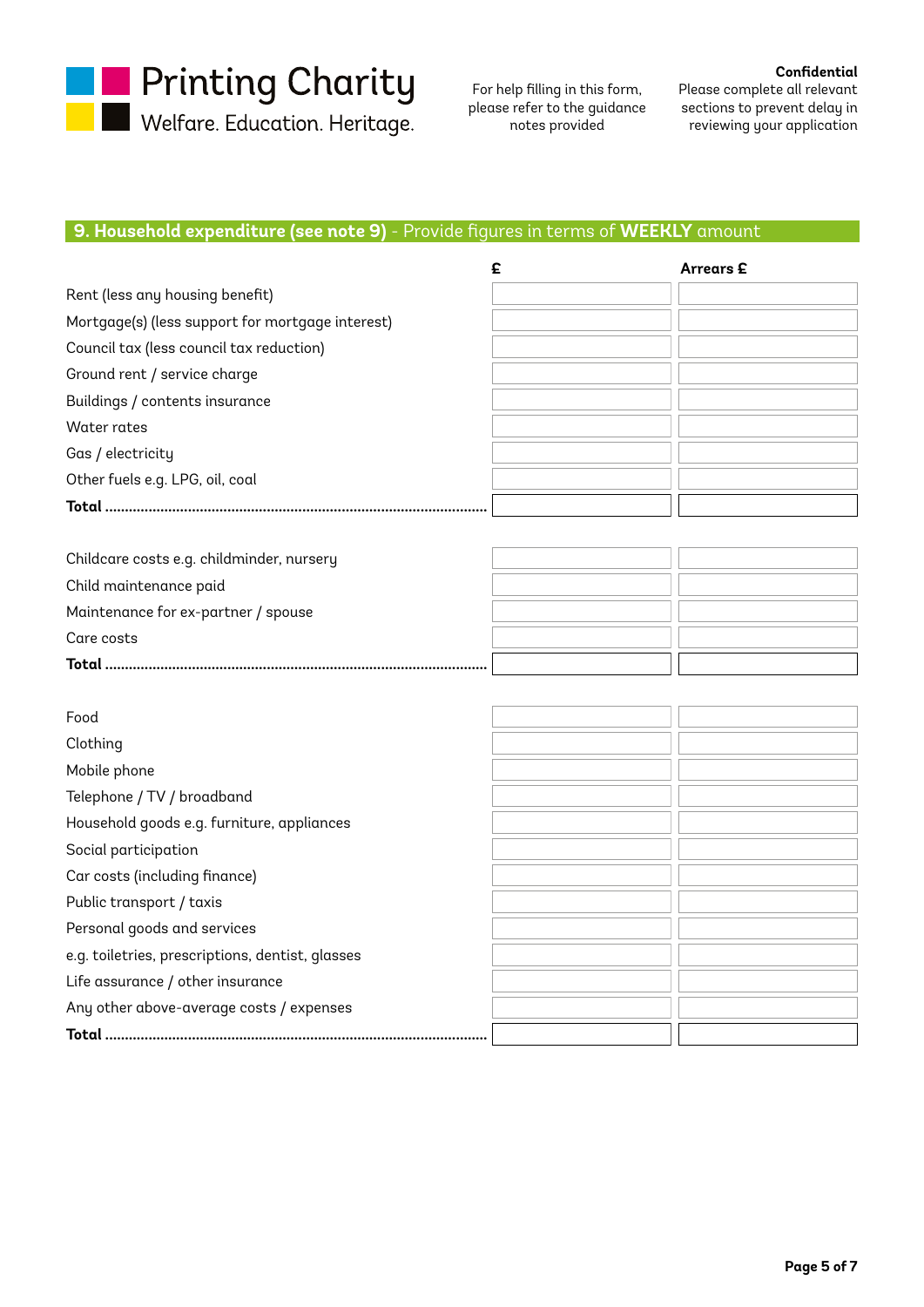**Designal Printing Charity**<br>Designation Meritage.

For help filling in this form, please refer to the guidance notes provided

**Confidential** Please complete all relevant sections to prevent delay in reviewing your application

## **9. Household expenditure (see note 9)** - Provide figures in terms of **WEEKLY** amount

|                                                  | £ | <b>Arrears</b> £ |
|--------------------------------------------------|---|------------------|
| Rent (less any housing benefit)                  |   |                  |
| Mortgage(s) (less support for mortgage interest) |   |                  |
| Council tax (less council tax reduction)         |   |                  |
| Ground rent / service charge                     |   |                  |
| Buildings / contents insurance                   |   |                  |
| Water rates                                      |   |                  |
| Gas / electricity                                |   |                  |
| Other fuels e.g. LPG, oil, coal                  |   |                  |
|                                                  |   |                  |
|                                                  |   |                  |
| Childcare costs e.g. childminder, nursery        |   |                  |
| Child maintenance paid                           |   |                  |
| Maintenance for ex-partner / spouse              |   |                  |
| Care costs                                       |   |                  |
|                                                  |   |                  |
|                                                  |   |                  |
| Food                                             |   |                  |
| Clothing                                         |   |                  |
| Mobile phone                                     |   |                  |
| Telephone / TV / broadband                       |   |                  |
| Household goods e.g. furniture, appliances       |   |                  |
| Social participation                             |   |                  |
| Car costs (including finance)                    |   |                  |
| Public transport / taxis                         |   |                  |
| Personal goods and services                      |   |                  |
| e.g. toiletries, prescriptions, dentist, glasses |   |                  |
| Life assurance / other insurance                 |   |                  |
| Any other above-average costs / expenses         |   |                  |
|                                                  |   |                  |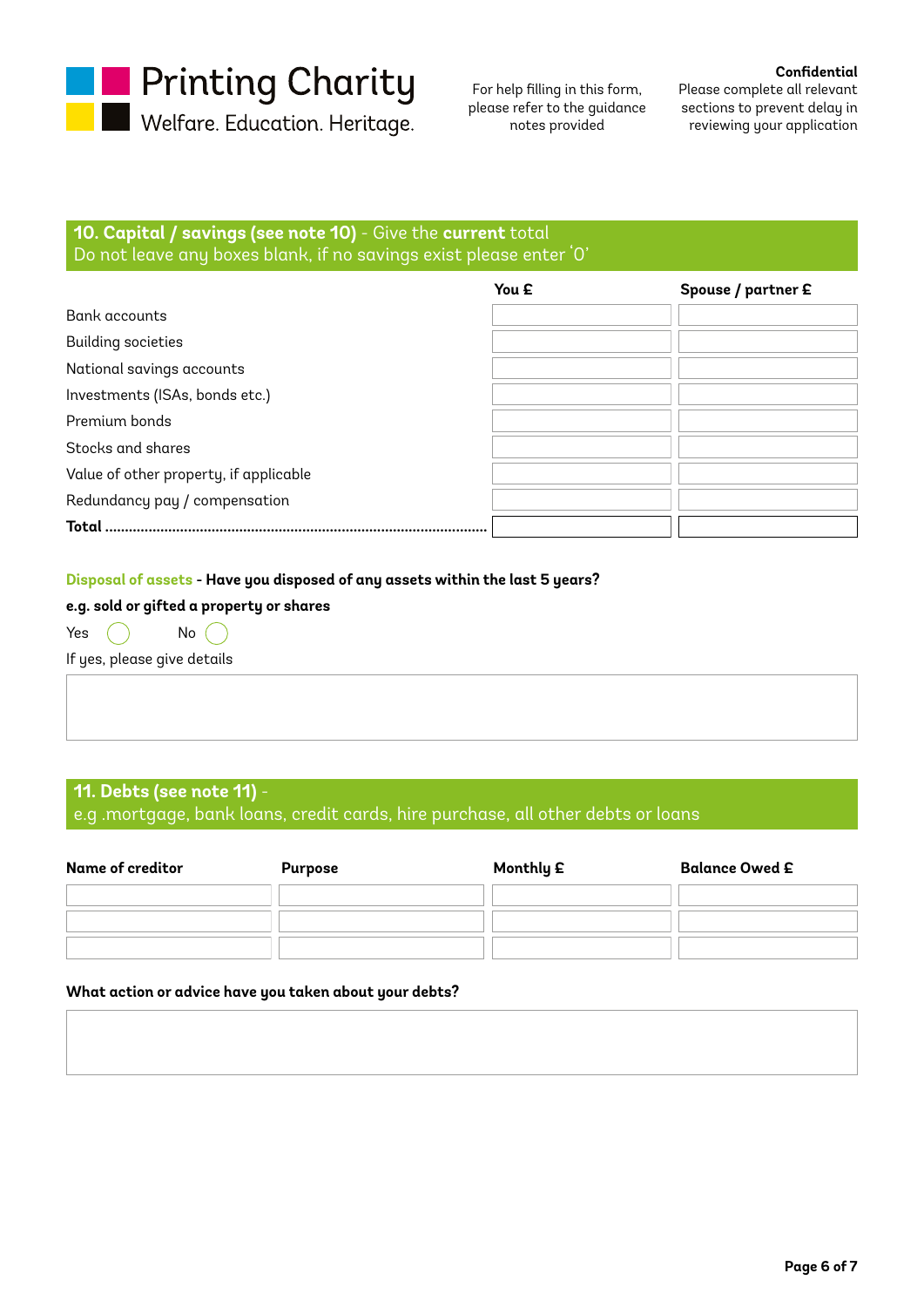

Welfare. Education. Heritage.

For help filling in this form, please refer to the guidance notes provided

**Confidential** Please complete all relevant sections to prevent delay in reviewing your application

# **10. Capital / savings (see note 10)** - Give the **current** total Do not leave any boxes blank, if no savings exist please enter '0'

|                                        | You £ | Spouse / partner £ |
|----------------------------------------|-------|--------------------|
| Bank accounts                          |       |                    |
| <b>Building societies</b>              |       |                    |
| National savings accounts              |       |                    |
| Investments (ISAs, bonds etc.)         |       |                    |
| Premium bonds                          |       |                    |
| Stocks and shares                      |       |                    |
| Value of other property, if applicable |       |                    |
| Redundancy pay / compensation          |       |                    |
| <b>Total</b>                           |       |                    |

#### **Disposal of assets - Have you disposed of any assets within the last 5 years?**

## **e.g. sold or gifted a property or shares**

Yes  $\bigcap$  No  $\bigcap$ 

If yes, please give details

# **11. Debts (see note 11)** -

e.g .mortgage, bank loans, credit cards, hire purchase, all other debts or loans

| Name of creditor | <b>Purpose</b> | Monthly £ | <b>Balance Owed £</b> |
|------------------|----------------|-----------|-----------------------|
|                  |                |           |                       |
|                  |                |           |                       |
|                  |                |           |                       |

#### **What action or advice have you taken about your debts?**